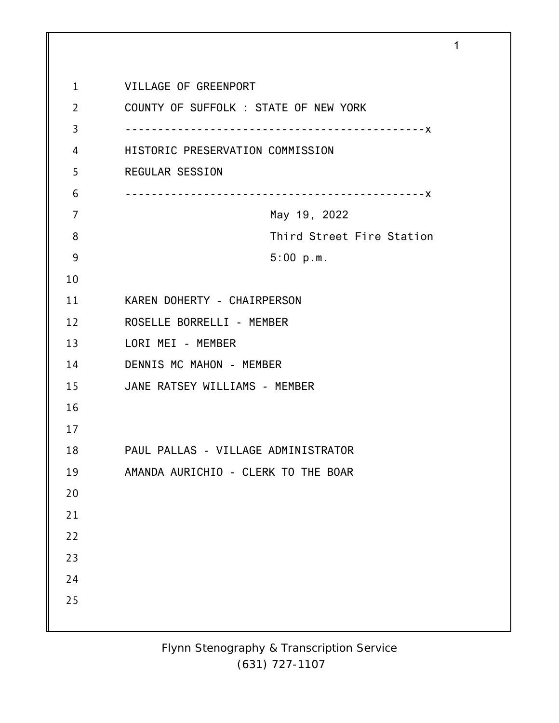| $\mathbf{1}$   | VILLAGE OF GREENPORT                  |
|----------------|---------------------------------------|
| $\overline{2}$ | COUNTY OF SUFFOLK : STATE OF NEW YORK |
| 3              |                                       |
| 4              | HISTORIC PRESERVATION COMMISSION      |
| 5              | <b>REGULAR SESSION</b>                |
| 6              |                                       |
| 7              | May 19, 2022                          |
| 8              | Third Street Fire Station             |
| 9              | 5:00 p.m.                             |
| 10             |                                       |
| 11             | KAREN DOHERTY - CHAIRPERSON           |
| 12             | ROSELLE BORRELLI - MEMBER             |
| 13             | LORI MEI - MEMBER                     |
| 14             | DENNIS MC MAHON - MEMBER              |
| 15             | JANE RATSEY WILLIAMS - MEMBER         |
| 16             |                                       |
| 17             |                                       |
| 18             | PAUL PALLAS - VILLAGE ADMINISTRATOR   |
| 19             | AMANDA AURICHIO - CLERK TO THE BOAR   |
| 20             |                                       |
| 21             |                                       |
| 22             |                                       |
| 23             |                                       |
| 24             |                                       |
| 25             |                                       |
|                |                                       |

1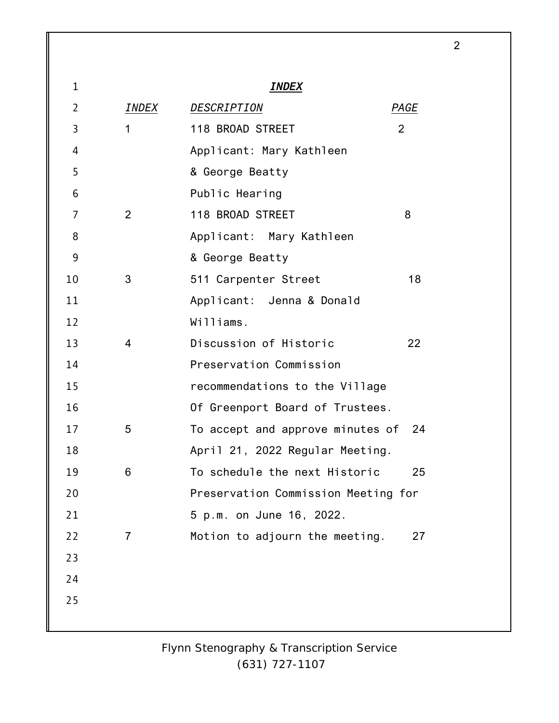| $\mathbf{1}$   |              | <i>INDEX</i>                         |
|----------------|--------------|--------------------------------------|
| $\overline{2}$ | INDEX        | DESCRIPTION<br>PAGE                  |
| $\overline{3}$ | $\mathbf{1}$ | 2<br>118 BROAD STREET                |
| 4              |              | Applicant: Mary Kathleen             |
| 5              |              | & George Beatty                      |
| 6              |              | Public Hearing                       |
| 7              | 2            | 118 BROAD STREET<br>8                |
| 8              |              | Applicant: Mary Kathleen             |
| 9              |              | & George Beatty                      |
| 10             | 3            | 511 Carpenter Street<br>18           |
| 11             |              | Applicant: Jenna & Donald            |
| 12             |              | Williams.                            |
| 13             | 4            | Discussion of Historic<br>22         |
| 14             |              | Preservation Commission              |
| 15             |              | recommendations to the Village       |
| 16             |              | Of Greenport Board of Trustees.      |
| 17             | 5            | To accept and approve minutes of 24  |
| 18             |              | April 21, 2022 Regular Meeting.      |
| 19             | 6            | To schedule the next Historic<br>25  |
| 20             |              | Preservation Commission Meeting for  |
| 21             |              | 5 p.m. on June 16, 2022.             |
| 22             | 7            | Motion to adjourn the meeting.<br>27 |
| 23             |              |                                      |
| 24             |              |                                      |
| 25             |              |                                      |
|                |              |                                      |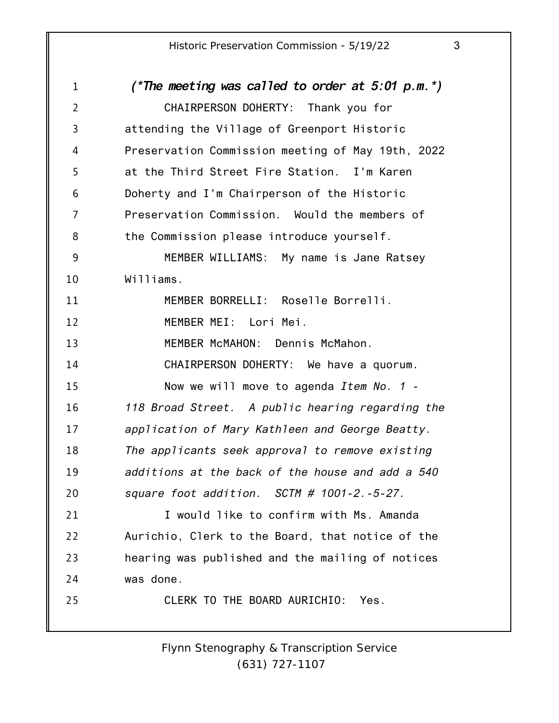1 2 3 4 5 6 7 8 9 10 11 12 13 14 15 16 17 18 19 20 21 22 23 24 25 *(\*The meeting was called to order at 5:01 p.m.\*)* CHAIRPERSON DOHERTY: Thank you for attending the Village of Greenport Historic Preservation Commission meeting of May 19th, 2022 at the Third Street Fire Station. I'm Karen Doherty and I'm Chairperson of the Historic Preservation Commission. Would the members of the Commission please introduce yourself. MEMBER WILLIAMS: My name is Jane Ratsey Williams. MEMBER BORRELLI: Roselle Borrelli. MEMBER MEI: Lori Mei. MEMBER McMAHON: Dennis McMahon. CHAIRPERSON DOHERTY: We have a quorum. Now we will move to agenda *Item No. 1 - 118 Broad Street. A public hearing regarding the application of Mary Kathleen and George Beatty. The applicants seek approval to remove existing additions at the back of the house and add a 540 square foot addition. SCTM # 1001-2.-5-27.* I would like to confirm with Ms. Amanda Aurichio, Clerk to the Board, that notice of the hearing was published and the mailing of notices was done. CLERK TO THE BOARD AURICHIO: Yes.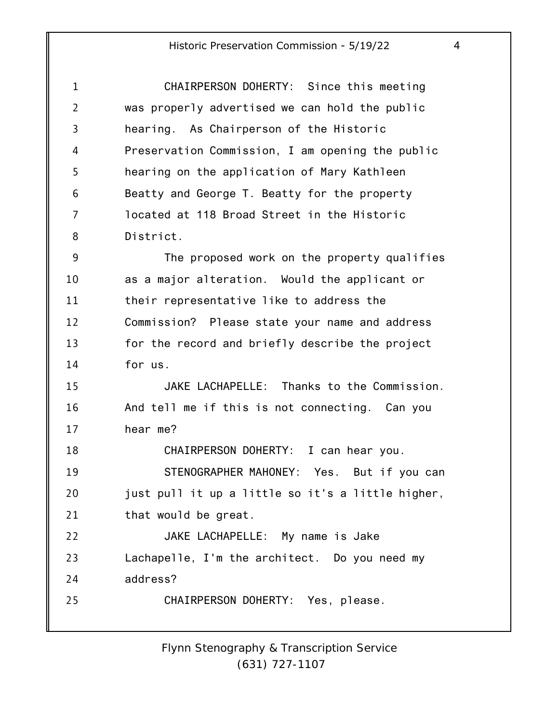| $\mathbf 1$    | CHAIRPERSON DOHERTY: Since this meeting           |
|----------------|---------------------------------------------------|
| $\overline{2}$ | was properly advertised we can hold the public    |
| 3              | hearing. As Chairperson of the Historic           |
| 4              | Preservation Commission, I am opening the public  |
| 5              | hearing on the application of Mary Kathleen       |
| 6              | Beatty and George T. Beatty for the property      |
| 7              | located at 118 Broad Street in the Historic       |
| 8              | District.                                         |
| 9              | The proposed work on the property qualifies       |
| 10             | as a major alteration. Would the applicant or     |
| 11             | their representative like to address the          |
| 12             | Commission? Please state your name and address    |
| 13             | for the record and briefly describe the project   |
| 14             | for us.                                           |
| 15             | JAKE LACHAPELLE: Thanks to the Commission.        |
| 16             | And tell me if this is not connecting. Can you    |
| 17             | hear me?                                          |
| 18             | CHAIRPERSON DOHERTY: I can hear you.              |
| 19             | STENOGRAPHER MAHONEY: Yes. But if you can         |
| 20             | just pull it up a little so it's a little higher, |
| 21             | that would be great.                              |
| 22             | JAKE LACHAPELLE: My name is Jake                  |
| 23             | Lachapelle, I'm the architect. Do you need my     |
| 24             | address?                                          |
| 25             | CHAIRPERSON DOHERTY: Yes, please.                 |
|                |                                                   |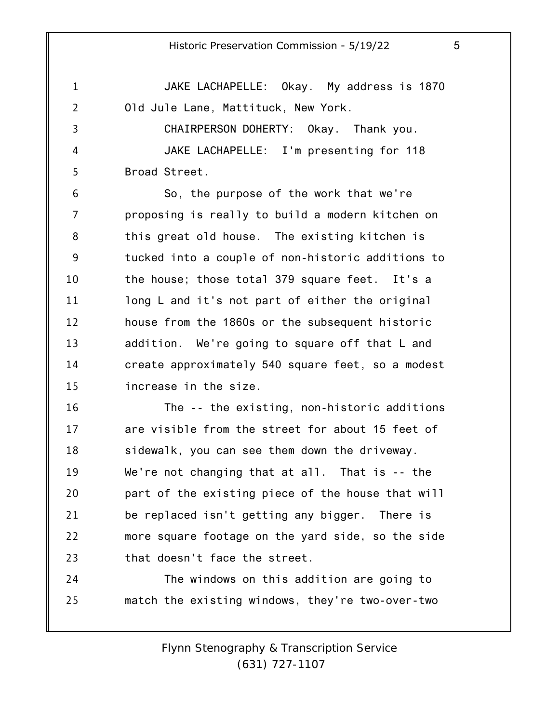1 2 3 4 5 6 7 8 9 10 11 12 13 14 15 JAKE LACHAPELLE: Okay. My address is 1870 Old Jule Lane, Mattituck, New York. CHAIRPERSON DOHERTY: Okay. Thank you. JAKE LACHAPELLE: I'm presenting for 118 Broad Street. So, the purpose of the work that we're proposing is really to build a modern kitchen on this great old house. The existing kitchen is tucked into a couple of non-historic additions to the house; those total 379 square feet. It's a long L and it's not part of either the original house from the 1860s or the subsequent historic addition. We're going to square off that L and create approximately 540 square feet, so a modest increase in the size.

16 17 18 19 20 21 22 23 The -- the existing, non-historic additions are visible from the street for about 15 feet of sidewalk, you can see them down the driveway. We're not changing that at all. That is -- the part of the existing piece of the house that will be replaced isn't getting any bigger. There is more square footage on the yard side, so the side that doesn't face the street.

24 25 The windows on this addition are going to match the existing windows, they're two-over-two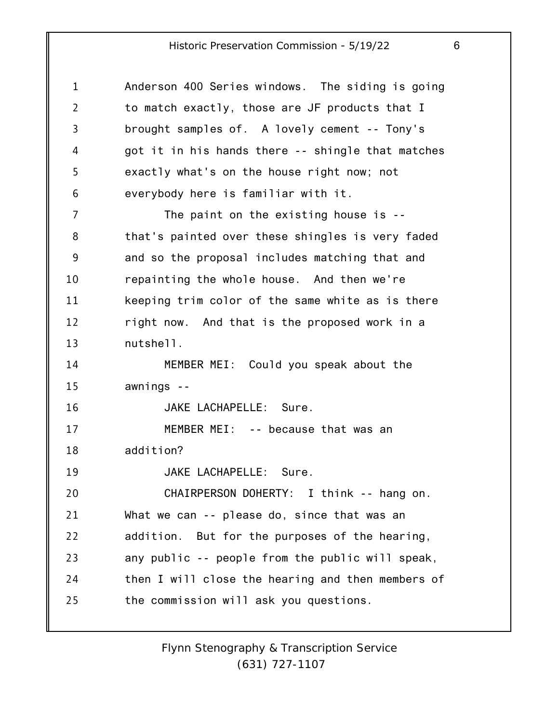| 1              | Anderson 400 Series windows. The siding is going  |
|----------------|---------------------------------------------------|
| $\overline{2}$ | to match exactly, those are JF products that I    |
| 3              | brought samples of. A lovely cement -- Tony's     |
| 4              | got it in his hands there -- shingle that matches |
| 5              | exactly what's on the house right now; not        |
| 6              | everybody here is familiar with it.               |
| 7              | The paint on the existing house is $-$            |
| 8              | that's painted over these shingles is very faded  |
| 9              | and so the proposal includes matching that and    |
| 10             | repainting the whole house. And then we're        |
| 11             | keeping trim color of the same white as is there  |
| 12             | right now. And that is the proposed work in a     |
| 13             | nutshell.                                         |
| 14             | MEMBER MEI: Could you speak about the             |
| 15             | awnings --                                        |
| 16             | JAKE LACHAPELLE: Sure.                            |
| 17             | MEMBER MEI: -- because that was an                |
| 18             | addition?                                         |
| 19             | JAKE LACHAPELLE: Sure.                            |
| 20             | CHAIRPERSON DOHERTY: I think -- hang on.          |
| 21             | What we can -- please do, since that was an       |
| 22             | addition. But for the purposes of the hearing,    |
| 23             | any public -- people from the public will speak,  |
| 24             | then I will close the hearing and then members of |
| 25             | the commission will ask you questions.            |
|                |                                                   |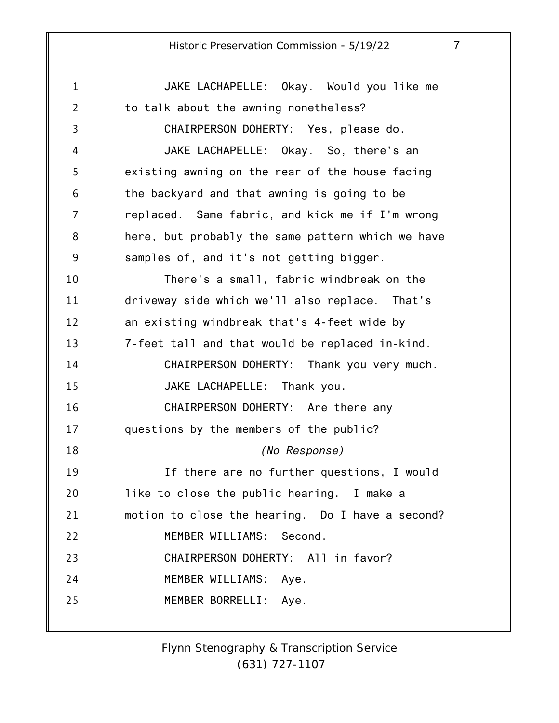1 2 3 4 5 6 7 8 9 10 11 12 13 14 15 16 17 18 19 20 21 22 23 24 25 JAKE LACHAPELLE: Okay. Would you like me to talk about the awning nonetheless? CHAIRPERSON DOHERTY: Yes, please do. JAKE LACHAPELLE: Okay. So, there's an existing awning on the rear of the house facing the backyard and that awning is going to be replaced. Same fabric, and kick me if I'm wrong here, but probably the same pattern which we have samples of, and it's not getting bigger. There's a small, fabric windbreak on the driveway side which we'll also replace. That's an existing windbreak that's 4-feet wide by 7-feet tall and that would be replaced in-kind. CHAIRPERSON DOHERTY: Thank you very much. JAKE LACHAPELLE: Thank you. CHAIRPERSON DOHERTY: Are there any questions by the members of the public? *(No Response)* If there are no further questions, I would like to close the public hearing. I make a motion to close the hearing. Do I have a second? MEMBER WILLIAMS: Second. CHAIRPERSON DOHERTY: All in favor? MEMBER WILLIAMS: Aye. MEMBER BORRELLI: Aye.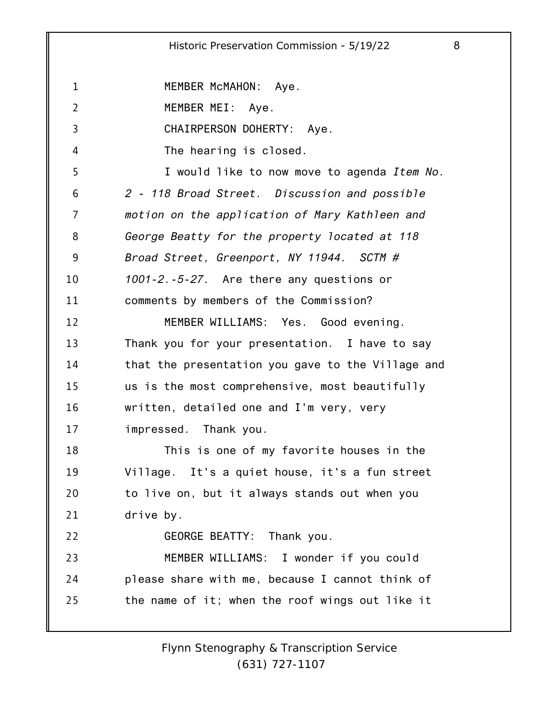1 2 3 4 5 6 7 8 9 10 11 12 13 14 15 16 17 18 19 20 21 22 23 24 25 MEMBER McMAHON: Aye. MEMBER MEI: Aye. CHAIRPERSON DOHERTY: Aye. The hearing is closed. I would like to now move to agenda *Item No. 2 - 118 Broad Street. Discussion and possible motion on the application of Mary Kathleen and George Beatty for the property located at 118 Broad Street, Greenport, NY 11944. SCTM # 1001-2.-5-27.* Are there any questions or comments by members of the Commission? MEMBER WILLIAMS: Yes. Good evening. Thank you for your presentation. I have to say that the presentation you gave to the Village and us is the most comprehensive, most beautifully written, detailed one and I'm very, very impressed. Thank you. This is one of my favorite houses in the Village. It's a quiet house, it's a fun street to live on, but it always stands out when you drive by. GEORGE BEATTY: Thank you. MEMBER WILLIAMS: I wonder if you could please share with me, because I cannot think of the name of it; when the roof wings out like it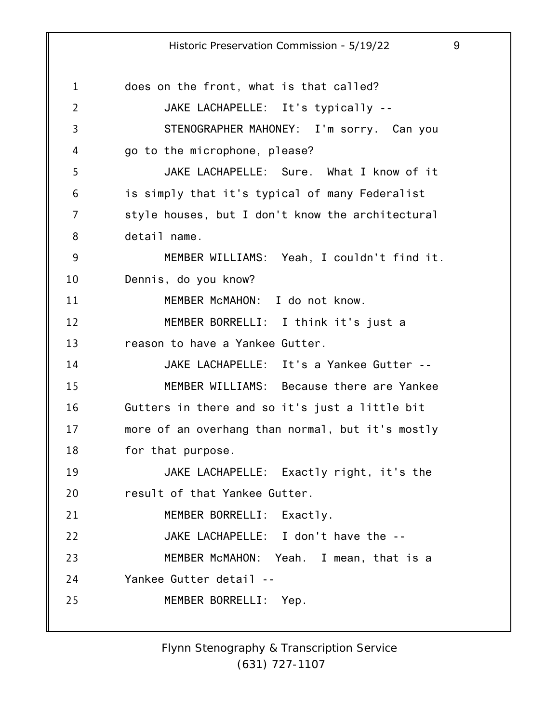1 2 3 4 5 6 7 8 9 10 11 12 13 14 15 16 17 18 19 20 21 22 23 24 25 does on the front, what is that called? JAKE LACHAPELLE: It's typically -- STENOGRAPHER MAHONEY: I'm sorry. Can you go to the microphone, please? JAKE LACHAPELLE: Sure. What I know of it is simply that it's typical of many Federalist style houses, but I don't know the architectural detail name. MEMBER WILLIAMS: Yeah, I couldn't find it. Dennis, do you know? MEMBER McMAHON: I do not know. MEMBER BORRELLI: I think it's just a reason to have a Yankee Gutter. JAKE LACHAPELLE: It's a Yankee Gutter -- MEMBER WILLIAMS: Because there are Yankee Gutters in there and so it's just a little bit more of an overhang than normal, but it's mostly for that purpose. JAKE LACHAPELLE: Exactly right, it's the result of that Yankee Gutter. MEMBER BORRELLI: Exactly. JAKE LACHAPELLE: I don't have the -- MEMBER McMAHON: Yeah. I mean, that is a Yankee Gutter detail -- MEMBER BORRELLI: Yep.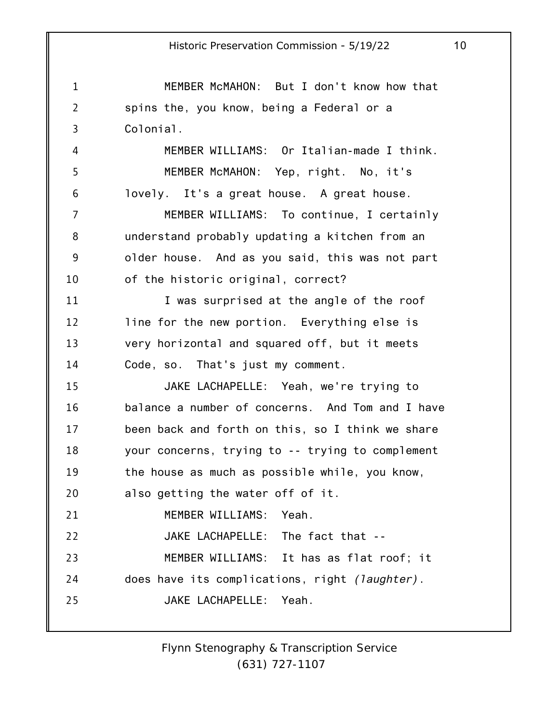1 2 3 4 5 6 7 8 9 10 11 12 13 14 15 16 17 18 19 20 21 22 23 24 25 MEMBER McMAHON: But I don't know how that spins the, you know, being a Federal or a Colonial. MEMBER WILLIAMS: Or Italian-made I think. MEMBER McMAHON: Yep, right. No, it's lovely. It's a great house. A great house. MEMBER WILLIAMS: To continue, I certainly understand probably updating a kitchen from an older house. And as you said, this was not part of the historic original, correct? I was surprised at the angle of the roof line for the new portion. Everything else is very horizontal and squared off, but it meets Code, so. That's just my comment. JAKE LACHAPELLE: Yeah, we're trying to balance a number of concerns. And Tom and I have been back and forth on this, so I think we share your concerns, trying to -- trying to complement the house as much as possible while, you know, also getting the water off of it. MEMBER WILLIAMS: Yeah. JAKE LACHAPELLE: The fact that -- MEMBER WILLIAMS: It has as flat roof; it does have its complications, right *(laughter)*. JAKE LACHAPELLE: Yeah.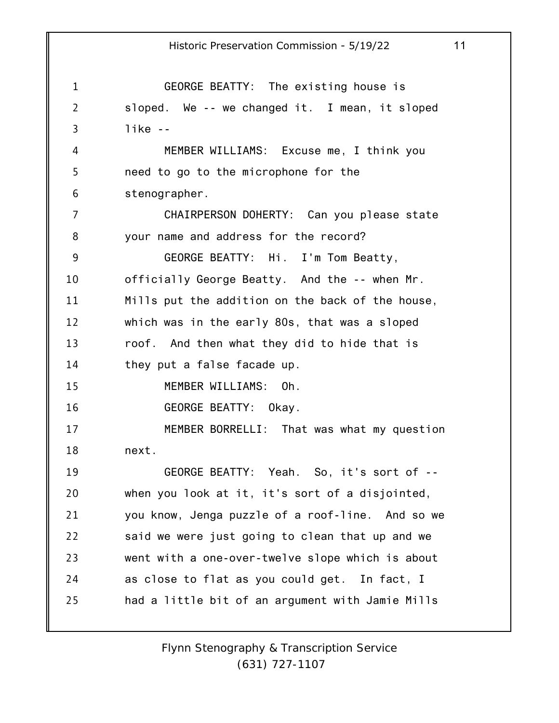1 2 3 4 5 6 7 8 9 10 11 12 13 14 15 16 17 18 19 20 21 22 23 24 25 Historic Preservation Commission - 5/19/22 11 GEORGE BEATTY: The existing house is sloped. We -- we changed it. I mean, it sloped like -- MEMBER WILLIAMS: Excuse me, I think you need to go to the microphone for the stenographer. CHAIRPERSON DOHERTY: Can you please state your name and address for the record? GEORGE BEATTY: Hi. I'm Tom Beatty, officially George Beatty. And the -- when Mr. Mills put the addition on the back of the house, which was in the early 80s, that was a sloped roof. And then what they did to hide that is they put a false facade up. MEMBER WILLIAMS: Oh. GEORGE BEATTY: Okay. MEMBER BORRELLI: That was what my question next. GEORGE BEATTY: Yeah. So, it's sort of - when you look at it, it's sort of a disjointed, you know, Jenga puzzle of a roof-line. And so we said we were just going to clean that up and we went with a one-over-twelve slope which is about as close to flat as you could get. In fact, I had a little bit of an argument with Jamie Mills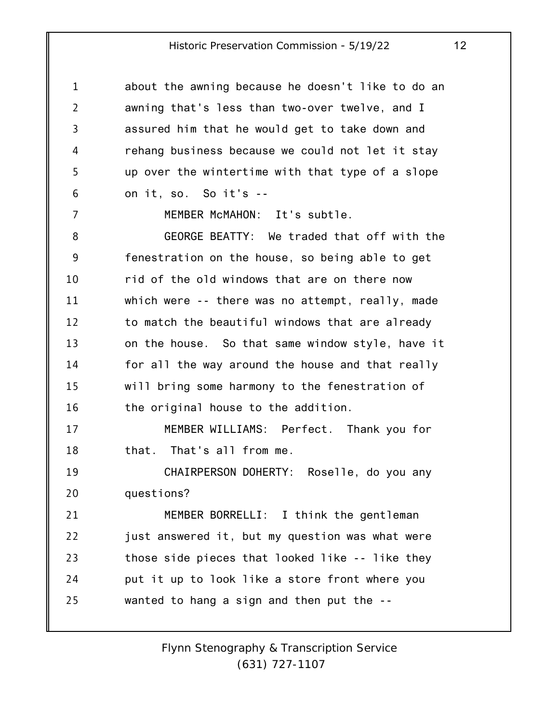| 1              | about the awning because he doesn't like to do an |
|----------------|---------------------------------------------------|
| $\overline{2}$ | awning that's less than two-over twelve, and I    |
| 3              | assured him that he would get to take down and    |
| 4              | rehang business because we could not let it stay  |
| 5              | up over the wintertime with that type of a slope  |
| 6              | on it, so. So it's --                             |
| 7              | MEMBER McMAHON: It's subtle.                      |
| 8              | GEORGE BEATTY: We traded that off with the        |
| 9              | fenestration on the house, so being able to get   |
| 10             | rid of the old windows that are on there now      |
| 11             | which were -- there was no attempt, really, made  |
| 12             | to match the beautiful windows that are already   |
| 13             | on the house. So that same window style, have it  |
| 14             | for all the way around the house and that really  |
| 15             | will bring some harmony to the fenestration of    |
| 16             | the original house to the addition.               |
| 17             | MEMBER WILLIAMS: Perfect. Thank you for           |
| 18             | that. That's all from me.                         |
| 19             | CHAIRPERSON DOHERTY: Roselle, do you any          |
| 20             | questions?                                        |
| 21             | MEMBER BORRELLI: I think the gentleman            |
| 22             | just answered it, but my question was what were   |
| 23             | those side pieces that looked like -- like they   |
| 24             | put it up to look like a store front where you    |
| 25             | wanted to hang a sign and then put the --         |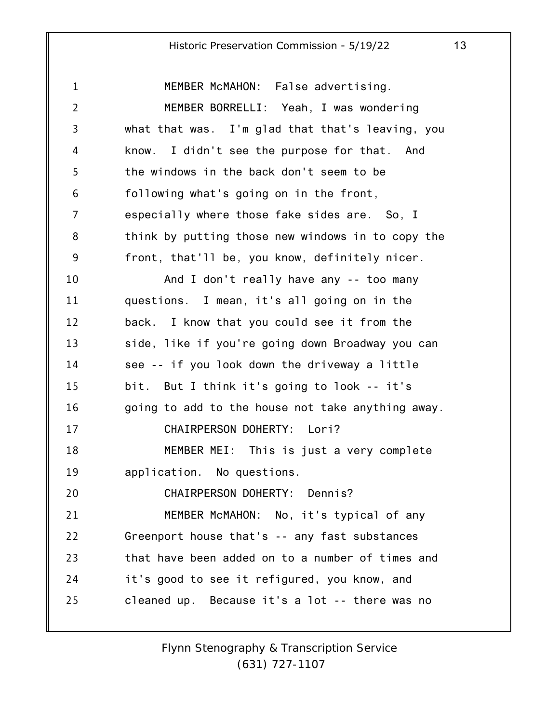1 2 3 4 5 6 7 8 9 10 11 12 13 14 15 16 17 18 19 20 21 22 23 24 25 MEMBER McMAHON: False advertising. MEMBER BORRELLI: Yeah, I was wondering what that was. I'm glad that that's leaving, you know. I didn't see the purpose for that. And the windows in the back don't seem to be following what's going on in the front, especially where those fake sides are. So, I think by putting those new windows in to copy the front, that'll be, you know, definitely nicer. And I don't really have any -- too many questions. I mean, it's all going on in the back. I know that you could see it from the side, like if you're going down Broadway you can see -- if you look down the driveway a little bit. But I think it's going to look -- it's going to add to the house not take anything away. CHAIRPERSON DOHERTY: Lori? MEMBER MEI: This is just a very complete application. No questions. CHAIRPERSON DOHERTY: Dennis? MEMBER McMAHON: No, it's typical of any Greenport house that's -- any fast substances that have been added on to a number of times and it's good to see it refigured, you know, and cleaned up. Because it's a lot -- there was no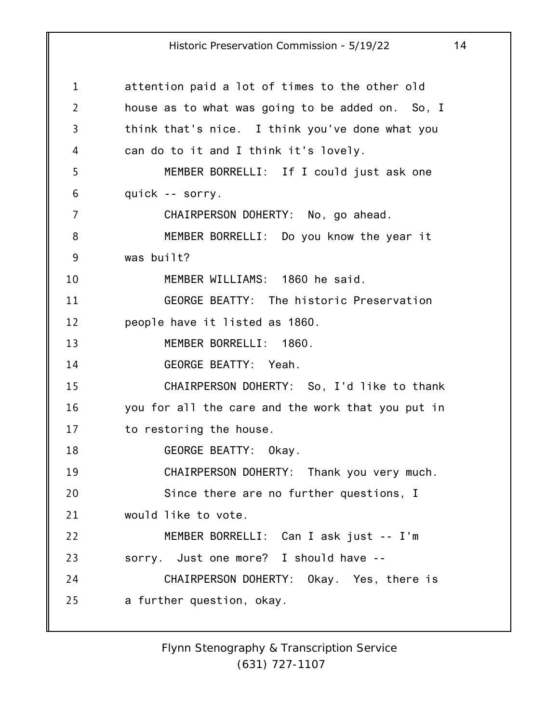1 2 3 4 5 6 7 8 9 10 11 12 13 14 15 16 17 18 19 20 21 22 23 24 25 attention paid a lot of times to the other old house as to what was going to be added on. So, I think that's nice. I think you've done what you can do to it and I think it's lovely. MEMBER BORRELLI: If I could just ask one quick -- sorry. CHAIRPERSON DOHERTY: No, go ahead. MEMBER BORRELLI: Do you know the year it was built? MEMBER WILLIAMS: 1860 he said. GEORGE BEATTY: The historic Preservation people have it listed as 1860. MEMBER BORRELLI: 1860. GEORGE BEATTY: Yeah. CHAIRPERSON DOHERTY: So, I'd like to thank you for all the care and the work that you put in to restoring the house. GEORGE BEATTY: Okay. CHAIRPERSON DOHERTY: Thank you very much. Since there are no further questions, I would like to vote. MEMBER BORRELLI: Can I ask just -- I'm sorry. Just one more? I should have -- CHAIRPERSON DOHERTY: Okay. Yes, there is a further question, okay.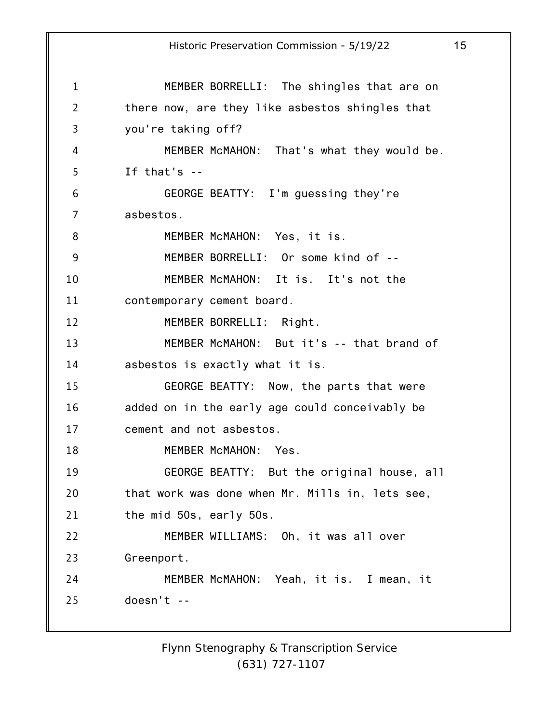1 2 3 4 5 6 7 8 9 10 11 12 13 14 15 16 17 18 19 20 21 22 23 24 25 Historic Preservation Commission - 5/19/22 15 MEMBER BORRELLI: The shingles that are on there now, are they like asbestos shingles that you're taking off? MEMBER McMAHON: That's what they would be. If that's -- GEORGE BEATTY: I'm guessing they're asbestos. MEMBER McMAHON: Yes, it is. MEMBER BORRELLI: Or some kind of -- MEMBER McMAHON: It is. It's not the contemporary cement board. MEMBER BORRELLI: Right. MEMBER McMAHON: But it's -- that brand of asbestos is exactly what it is. GEORGE BEATTY: Now, the parts that were added on in the early age could conceivably be cement and not asbestos. MEMBER McMAHON: Yes. GEORGE BEATTY: But the original house, all that work was done when Mr. Mills in, lets see, the mid 50s, early 50s. MEMBER WILLIAMS: Oh, it was all over Greenport. MEMBER McMAHON: Yeah, it is. I mean, it doesn't --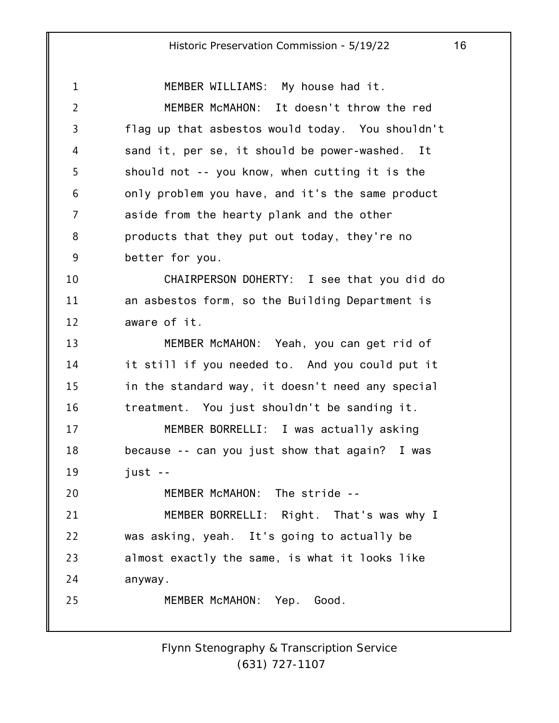1 2 3 4 5 6 7 8 9 10 11 12 13 14 15 16 17 18 19 20 21 22 23 24 25 MEMBER WILLIAMS: My house had it. MEMBER McMAHON: It doesn't throw the red flag up that asbestos would today. You shouldn't sand it, per se, it should be power-washed. It should not -- you know, when cutting it is the only problem you have, and it's the same product aside from the hearty plank and the other products that they put out today, they're no better for you. CHAIRPERSON DOHERTY: I see that you did do an asbestos form, so the Building Department is aware of it. MEMBER McMAHON: Yeah, you can get rid of it still if you needed to. And you could put it in the standard way, it doesn't need any special treatment. You just shouldn't be sanding it. MEMBER BORRELLI: I was actually asking because -- can you just show that again? I was just -- MEMBER McMAHON: The stride -- MEMBER BORRELLI: Right. That's was why I was asking, yeah. It's going to actually be almost exactly the same, is what it looks like anyway. MEMBER McMAHON: Yep. Good.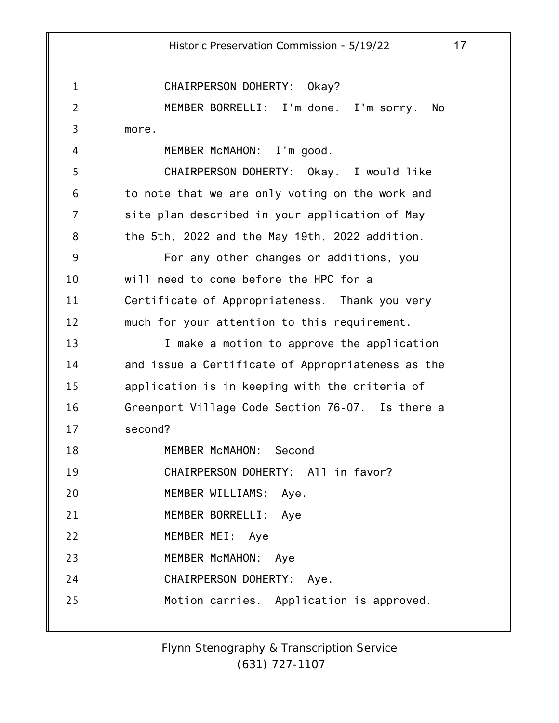1 2 3 4 5 6 7 8 9 10 11 12 13 14 15 16 17 18 19 20 21 22 23 24 25 Historic Preservation Commission - 5/19/22 17 CHAIRPERSON DOHERTY: Okay? MEMBER BORRELLI: I'm done. I'm sorry. No more. MEMBER McMAHON: I'm good. CHAIRPERSON DOHERTY: Okay. I would like to note that we are only voting on the work and site plan described in your application of May the 5th, 2022 and the May 19th, 2022 addition. For any other changes or additions, you will need to come before the HPC for a Certificate of Appropriateness. Thank you very much for your attention to this requirement. I make a motion to approve the application and issue a Certificate of Appropriateness as the application is in keeping with the criteria of Greenport Village Code Section 76-07. Is there a second? MEMBER McMAHON: Second CHAIRPERSON DOHERTY: All in favor? MEMBER WILLIAMS: Aye. MEMBER BORRELLI: Aye MEMBER MEI: Aye MEMBER McMAHON: Aye CHAIRPERSON DOHERTY: Aye. Motion carries. Application is approved.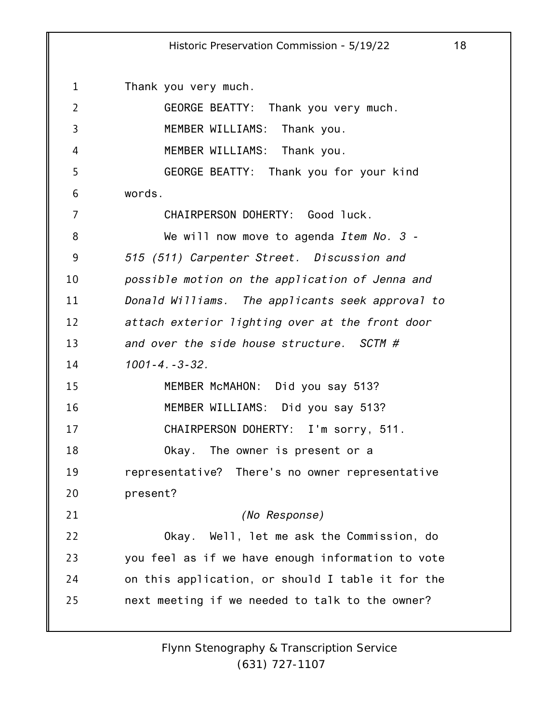| $\mathbf{1}$   | Thank you very much.                              |
|----------------|---------------------------------------------------|
| $\overline{2}$ | GEORGE BEATTY: Thank you very much.               |
| 3              | MEMBER WILLIAMS: Thank you.                       |
| 4              | MEMBER WILLIAMS: Thank you.                       |
| 5              | GEORGE BEATTY: Thank you for your kind            |
| 6              | words.                                            |
| 7              | CHAIRPERSON DOHERTY: Good luck.                   |
| 8              | We will now move to agenda Item No. 3 -           |
| 9              | 515 (511) Carpenter Street. Discussion and        |
| 10             | possible motion on the application of Jenna and   |
| 11             | Donald Williams. The applicants seek approval to  |
| 12             | attach exterior lighting over at the front door   |
| 13             | and over the side house structure. SCTM $#$       |
| 14             | $1001 - 4. - 3 - 32.$                             |
| 15             | MEMBER McMAHON: Did you say 513?                  |
| 16             | MEMBER WILLIAMS: Did you say 513?                 |
| 17             | CHAIRPERSON DOHERTY: I'm sorry, 511.              |
| 18             | Okay. The owner is present or a                   |
| 19             | representative? There's no owner representative   |
| 20             | present?                                          |
| 21             | (No Response)                                     |
| 22             | Okay. Well, let me ask the Commission, do         |
| 23             | you feel as if we have enough information to vote |
| 24             | on this application, or should I table it for the |
| 25             | next meeting if we needed to talk to the owner?   |
|                |                                                   |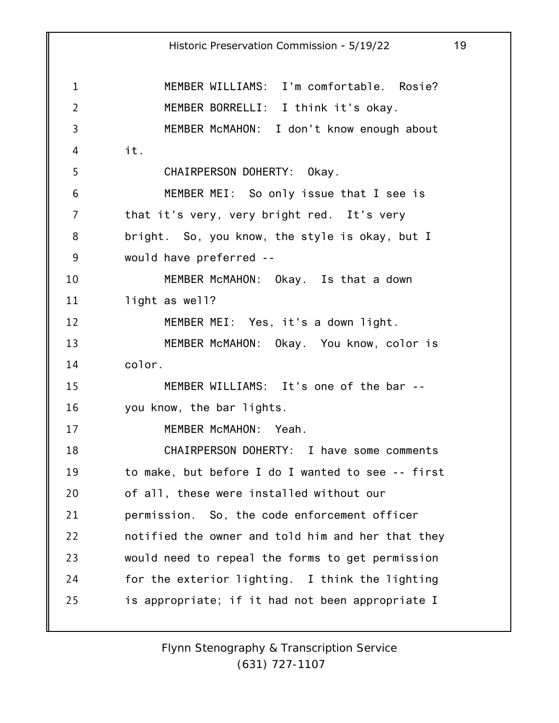1 2 3 4 5 6 7 8 9 10 11 12 13 14 15 16 17 18 19 20 21 22 23 24 25 Historic Preservation Commission - 5/19/22 19 MEMBER WILLIAMS: I'm comfortable. Rosie? MEMBER BORRELLI: I think it's okay. MEMBER McMAHON: I don't know enough about it. CHAIRPERSON DOHERTY: Okay. MEMBER MEI: So only issue that I see is that it's very, very bright red. It's very bright. So, you know, the style is okay, but I would have preferred -- MEMBER McMAHON: Okay. Is that a down light as well? MEMBER MEI: Yes, it's a down light. MEMBER McMAHON: Okay. You know, color is color. MEMBER WILLIAMS: It's one of the bar - you know, the bar lights. MEMBER McMAHON: Yeah. CHAIRPERSON DOHERTY: I have some comments to make, but before I do I wanted to see -- first of all, these were installed without our permission. So, the code enforcement officer notified the owner and told him and her that they would need to repeal the forms to get permission for the exterior lighting. I think the lighting is appropriate; if it had not been appropriate I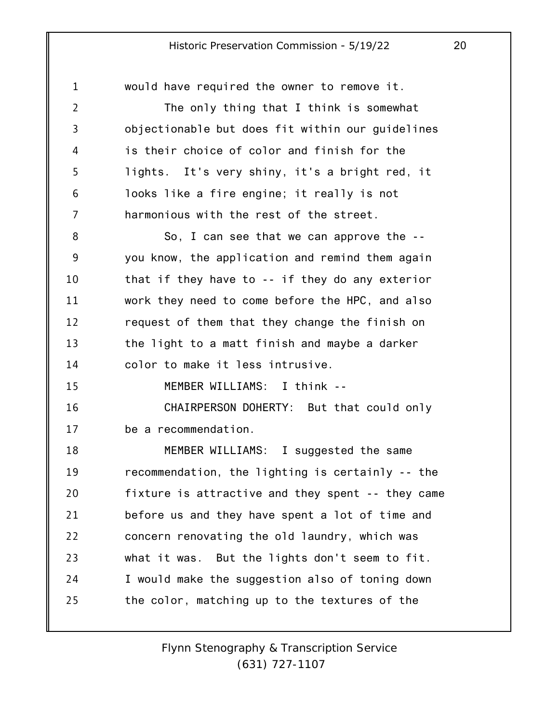1 2 3 4 5 6 7 8 9 10 11 12 13 14 15 16 17 18 19 20 21 22 23 24 25 would have required the owner to remove it. The only thing that I think is somewhat objectionable but does fit within our guidelines is their choice of color and finish for the lights. It's very shiny, it's a bright red, it looks like a fire engine; it really is not harmonious with the rest of the street. So, I can see that we can approve the - you know, the application and remind them again that if they have to -- if they do any exterior work they need to come before the HPC, and also request of them that they change the finish on the light to a matt finish and maybe a darker color to make it less intrusive. MEMBER WILLIAMS: I think -- CHAIRPERSON DOHERTY: But that could only be a recommendation. MEMBER WILLIAMS: I suggested the same recommendation, the lighting is certainly -- the fixture is attractive and they spent -- they came before us and they have spent a lot of time and concern renovating the old laundry, which was what it was. But the lights don't seem to fit. I would make the suggestion also of toning down the color, matching up to the textures of the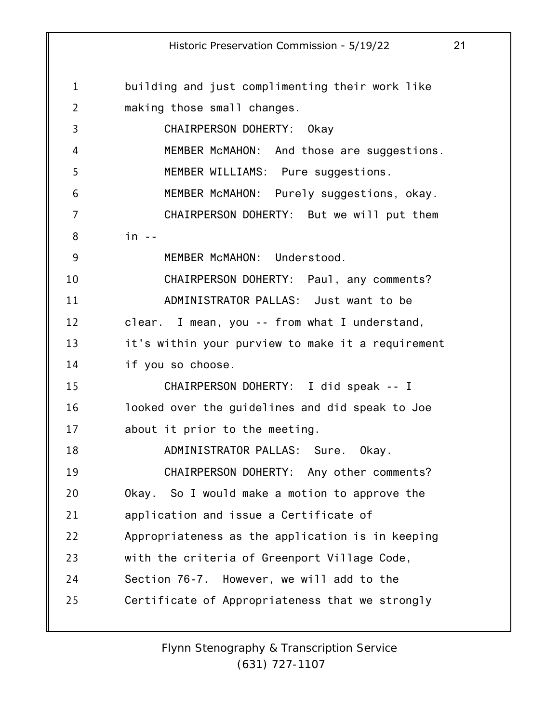1 2 3 4 5 6 7 8 9 10 11 12 13 14 15 16 17 18 19 20 21 22 23 24 25 building and just complimenting their work like making those small changes. CHAIRPERSON DOHERTY: Okay MEMBER McMAHON: And those are suggestions. MEMBER WILLIAMS: Pure suggestions. MEMBER McMAHON: Purely suggestions, okay. CHAIRPERSON DOHERTY: But we will put them  $in -$ MEMBER McMAHON: Understood. CHAIRPERSON DOHERTY: Paul, any comments? ADMINISTRATOR PALLAS: Just want to be clear. I mean, you -- from what I understand, it's within your purview to make it a requirement if you so choose. CHAIRPERSON DOHERTY: I did speak -- I looked over the guidelines and did speak to Joe about it prior to the meeting. ADMINISTRATOR PALLAS: Sure. Okay. CHAIRPERSON DOHERTY: Any other comments? Okay. So I would make a motion to approve the application and issue a Certificate of Appropriateness as the application is in keeping with the criteria of Greenport Village Code, Section 76-7. However, we will add to the Certificate of Appropriateness that we strongly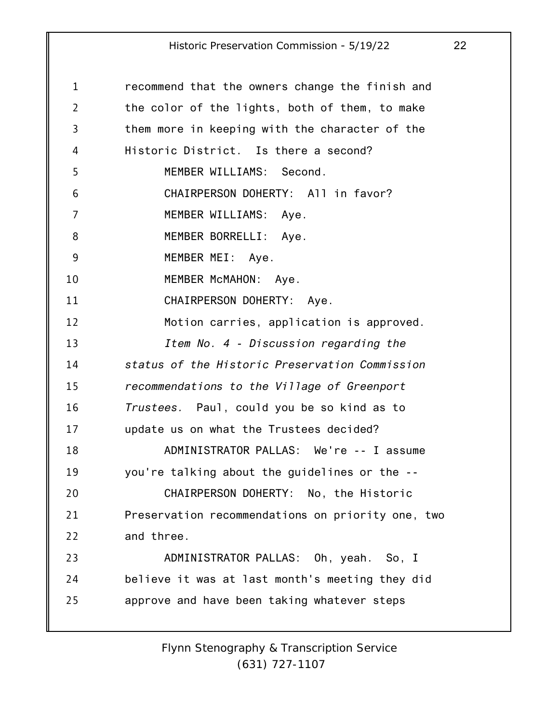| 1              | recommend that the owners change the finish and   |
|----------------|---------------------------------------------------|
| $\overline{2}$ | the color of the lights, both of them, to make    |
| 3              | them more in keeping with the character of the    |
| 4              | Historic District. Is there a second?             |
| 5              | MEMBER WILLIAMS: Second.                          |
| 6              | CHAIRPERSON DOHERTY: All in favor?                |
| 7              | MEMBER WILLIAMS: Aye.                             |
| 8              | MEMBER BORRELLI: Aye.                             |
| 9              | MEMBER MEI: Aye.                                  |
| 10             | MEMBER McMAHON: Aye.                              |
| 11             | CHAIRPERSON DOHERTY: Aye.                         |
| 12             | Motion carries, application is approved.          |
| 13             | Item No. 4 - Discussion regarding the             |
| 14             | status of the Historic Preservation Commission    |
| 15             | recommendations to the Village of Greenport       |
| 16             | Trustees. Paul, could you be so kind as to        |
| 17             | update us on what the Trustees decided?           |
| 18             | ADMINISTRATOR PALLAS: We're -- I assume           |
| 19             | you're talking about the guidelines or the --     |
| 20             | CHAIRPERSON DOHERTY: No, the Historic             |
| 21             | Preservation recommendations on priority one, two |
| 22             | and three.                                        |
| 23             | ADMINISTRATOR PALLAS: Oh, yeah. So, I             |
| 24             | believe it was at last month's meeting they did   |
| 25             | approve and have been taking whatever steps       |
|                |                                                   |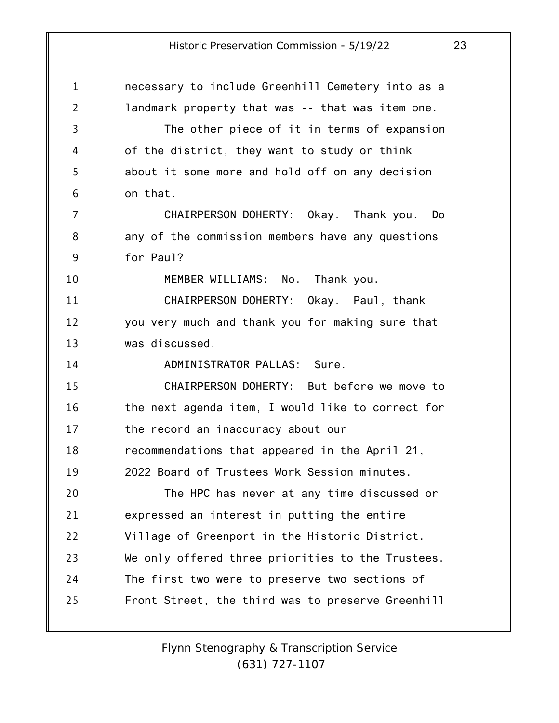| $\mathbf 1$    | necessary to include Greenhill Cemetery into as a |
|----------------|---------------------------------------------------|
| $\overline{2}$ | landmark property that was -- that was item one.  |
| 3              | The other piece of it in terms of expansion       |
| 4              | of the district, they want to study or think      |
| 5              | about it some more and hold off on any decision   |
| 6              | on that.                                          |
| 7              | CHAIRPERSON DOHERTY: Okay. Thank you. Do          |
| 8              | any of the commission members have any questions  |
| 9              | for Paul?                                         |
| 10             | MEMBER WILLIAMS: No. Thank you.                   |
| 11             | CHAIRPERSON DOHERTY: Okay. Paul, thank            |
| 12             | you very much and thank you for making sure that  |
| 13             | was discussed.                                    |
| 14             | ADMINISTRATOR PALLAS: Sure.                       |
| 15             | CHAIRPERSON DOHERTY: But before we move to        |
| 16             | the next agenda item, I would like to correct for |
| 17             | the record an inaccuracy about our                |
| 18             | recommendations that appeared in the April 21,    |
| 19             | 2022 Board of Trustees Work Session minutes.      |
| 20             | The HPC has never at any time discussed or        |
| 21             | expressed an interest in putting the entire       |
| 22             | Village of Greenport in the Historic District.    |
| 23             | We only offered three priorities to the Trustees. |
| 24             | The first two were to preserve two sections of    |
| 25             | Front Street, the third was to preserve Greenhill |
|                |                                                   |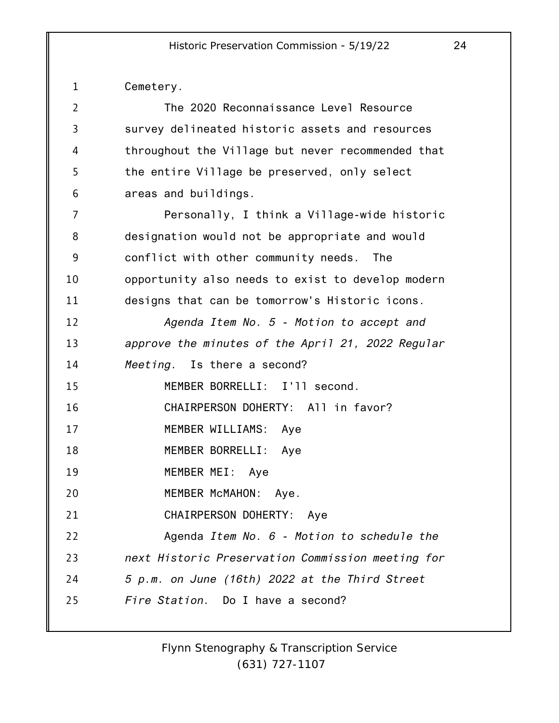| 1              | Cemetery.                                         |
|----------------|---------------------------------------------------|
| $\overline{2}$ | The 2020 Reconnaissance Level Resource            |
| 3              | survey delineated historic assets and resources   |
| 4              | throughout the Village but never recommended that |
| 5              | the entire Village be preserved, only select      |
| 6              | areas and buildings.                              |
| 7              | Personally, I think a Village-wide historic       |
| 8              | designation would not be appropriate and would    |
| 9              | conflict with other community needs.<br>The       |
| 10             | opportunity also needs to exist to develop modern |
| 11             | designs that can be tomorrow's Historic icons.    |
| 12             | Agenda Item No. 5 - Motion to accept and          |
| 13             | approve the minutes of the April 21, 2022 Regular |
| 14             | Meeting. Is there a second?                       |
| 15             | MEMBER BORRELLI: I'll second.                     |
| 16             | CHAIRPERSON DOHERTY: All in favor?                |
| 17             | MEMBER WILLIAMS: Aye                              |
| 18             | MEMBER BORRELLI: Aye                              |
| 19             | MEMBER MEI:<br>Aye                                |
| 20             | MEMBER McMAHON: Aye.                              |
| 21             | CHAIRPERSON DOHERTY: Aye                          |
| 22             | Agenda Item No. 6 - Motion to schedule the        |
| 23             | next Historic Preservation Commission meeting for |
| 24             | 5 p.m. on June (16th) 2022 at the Third Street    |
| 25             | Fire Station. Do I have a second?                 |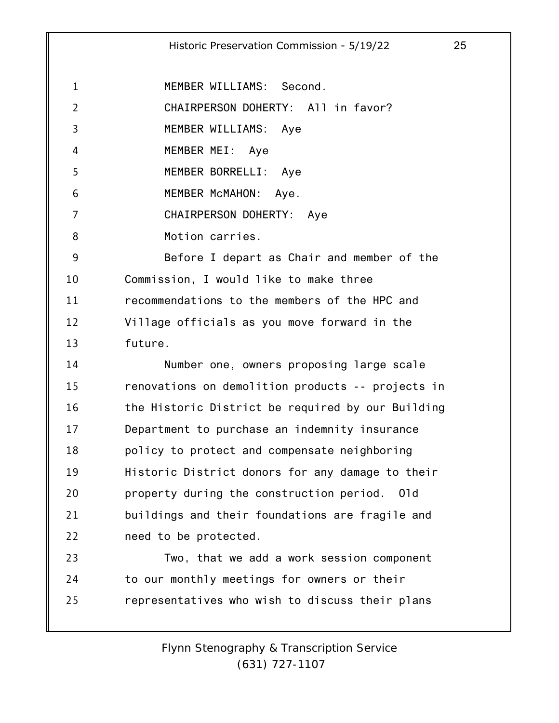1 MEMBER WILLIAMS: Second.

2 CHAIRPERSON DOHERTY: All in favor?

3 MEMBER WILLIAMS: Aye

4 MEMBER MEI: Aye

5 MEMBER BORRELLI: Aye

6 MEMBER McMAHON: Aye.

7 CHAIRPERSON DOHERTY: Aye

8 Motion carries.

9 10 11 12 13 Before I depart as Chair and member of the Commission, I would like to make three recommendations to the members of the HPC and Village officials as you move forward in the future.

14 15 16 17 18 19 20 21 22 Number one, owners proposing large scale renovations on demolition products -- projects in the Historic District be required by our Building Department to purchase an indemnity insurance policy to protect and compensate neighboring Historic District donors for any damage to their property during the construction period. Old buildings and their foundations are fragile and need to be protected.

23 24 25 Two, that we add a work session component to our monthly meetings for owners or their representatives who wish to discuss their plans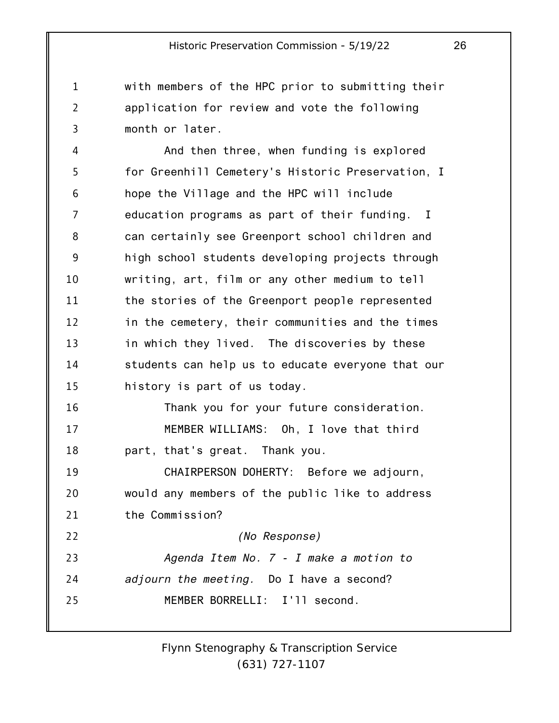with members of the HPC prior to submitting their application for review and vote the following month or later.

1

2

3

4 5 6 7 8 9 10 11 12 13 14 15 16 17 18 19 20 21 22 23 24 25 And then three, when funding is explored for Greenhill Cemetery's Historic Preservation, I hope the Village and the HPC will include education programs as part of their funding. I can certainly see Greenport school children and high school students developing projects through writing, art, film or any other medium to tell the stories of the Greenport people represented in the cemetery, their communities and the times in which they lived. The discoveries by these students can help us to educate everyone that our history is part of us today. Thank you for your future consideration. MEMBER WILLIAMS: Oh, I love that third part, that's great. Thank you. CHAIRPERSON DOHERTY: Before we adjourn, would any members of the public like to address the Commission? *(No Response) Agenda Item No. 7 - I make a motion to adjourn the meeting.* Do I have a second? MEMBER BORRELLI: I'll second.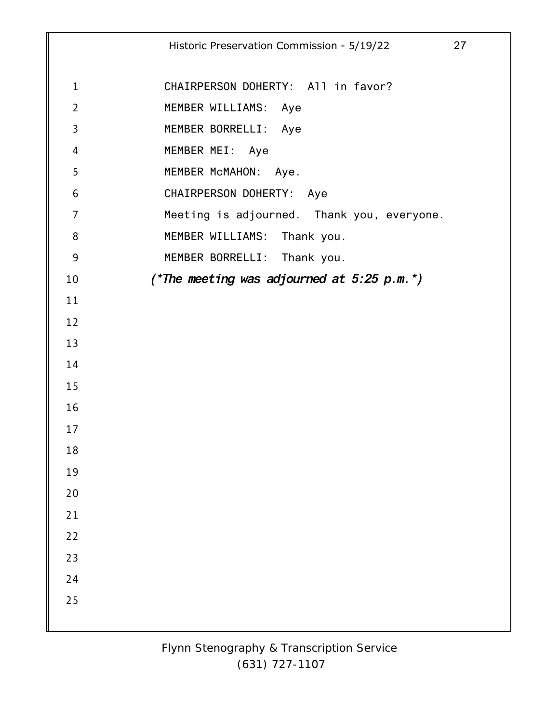|                | Historic Preservation Commission - 5/19/22<br>27 |  |
|----------------|--------------------------------------------------|--|
|                |                                                  |  |
| $\mathbf{1}$   | CHAIRPERSON DOHERTY: All in favor?               |  |
| $\overline{2}$ | MEMBER WILLIAMS: Aye                             |  |
| $\overline{3}$ | MEMBER BORRELLI: Aye                             |  |
| 4              | MEMBER MEI: Aye                                  |  |
| 5              | MEMBER McMAHON: Aye.                             |  |
| 6              | CHAIRPERSON DOHERTY: Aye                         |  |
| 7              | Meeting is adjourned. Thank you, everyone.       |  |
| 8              | MEMBER WILLIAMS: Thank you.                      |  |
| $9$            | MEMBER BORRELLI: Thank you.                      |  |
| 10             | (*The meeting was adjourned at $5:25$ p.m.*)     |  |
| 11             |                                                  |  |
| 12             |                                                  |  |
| 13             |                                                  |  |
| 14             |                                                  |  |
| 15             |                                                  |  |
| 16             |                                                  |  |
| 17             |                                                  |  |
| 18             |                                                  |  |
| 19             |                                                  |  |
| 20             |                                                  |  |
| 21             |                                                  |  |
| 22             |                                                  |  |
| 23             |                                                  |  |
| 24             |                                                  |  |
| 25             |                                                  |  |
|                |                                                  |  |